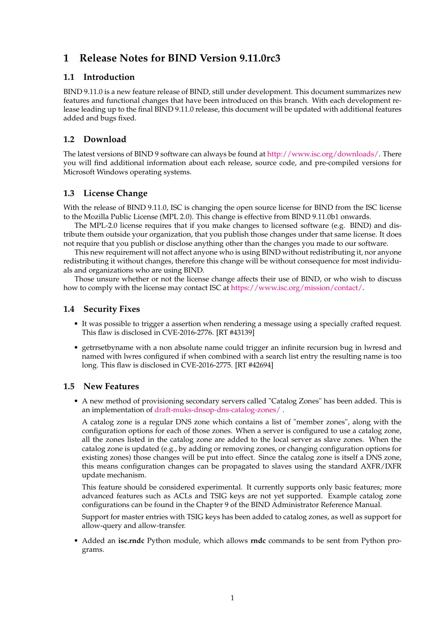# **1 Release Notes for BIND Version 9.11.0rc3**

#### **1.1 Introduction**

BIND 9.11.0 is a new feature release of BIND, still under development. This document summarizes new features and functional changes that have been introduced on this branch. With each development release leading up to the final BIND 9.11.0 release, this document will be updated with additional features added and bugs fixed.

# **1.2 Download**

The latest versions of BIND 9 software can always be found at [http://www.isc.org/downloads/.](http://www.isc.org/downloads/) There you will find additional information about each release, source code, and pre-compiled versions for Microsoft Windows operating systems.

## **1.3 License Change**

With the release of BIND 9.11.0, ISC is changing the open source license for BIND from the ISC license to the Mozilla Public License (MPL 2.0). This change is effective from BIND 9.11.0b1 onwards.

The MPL-2.0 license requires that if you make changes to licensed software (e.g. BIND) and distribute them outside your organization, that you publish those changes under that same license. It does not require that you publish or disclose anything other than the changes you made to our software.

This new requirement will not affect anyone who is using BIND without redistributing it, nor anyone redistributing it without changes, therefore this change will be without consequence for most individuals and organizations who are using BIND.

Those unsure whether or not the license change affects their use of BIND, or who wish to discuss how to comply with the license may contact ISC at [https://www.isc.org/mission/contact/.](https://www.isc.org/mission/contact/)

#### **1.4 Security Fixes**

- It was possible to trigger a assertion when rendering a message using a specially crafted request. This flaw is disclosed in CVE-2016-2776. [RT #43139]
- getrrsetbyname with a non absolute name could trigger an infinite recursion bug in lwresd and named with lwres configured if when combined with a search list entry the resulting name is too long. This flaw is disclosed in CVE-2016-2775. [RT #42694]

#### **1.5 New Features**

• A new method of provisioning secondary servers called "Catalog Zones" has been added. This is an implementation of [draft-muks-dnsop-dns-catalog-zones/](https://datatracker.ietf.org/doc/draft-muks-dnsop-dns-catalog-zones/) .

A catalog zone is a regular DNS zone which contains a list of "member zones", along with the configuration options for each of those zones. When a server is configured to use a catalog zone, all the zones listed in the catalog zone are added to the local server as slave zones. When the catalog zone is updated (e.g., by adding or removing zones, or changing configuration options for existing zones) those changes will be put into effect. Since the catalog zone is itself a DNS zone, this means configuration changes can be propagated to slaves using the standard AXFR/IXFR update mechanism.

This feature should be considered experimental. It currently supports only basic features; more advanced features such as ACLs and TSIG keys are not yet supported. Example catalog zone configurations can be found in the Chapter 9 of the BIND Administrator Reference Manual.

Support for master entries with TSIG keys has been added to catalog zones, as well as support for allow-query and allow-transfer.

• Added an **isc.rndc** Python module, which allows **rndc** commands to be sent from Python programs.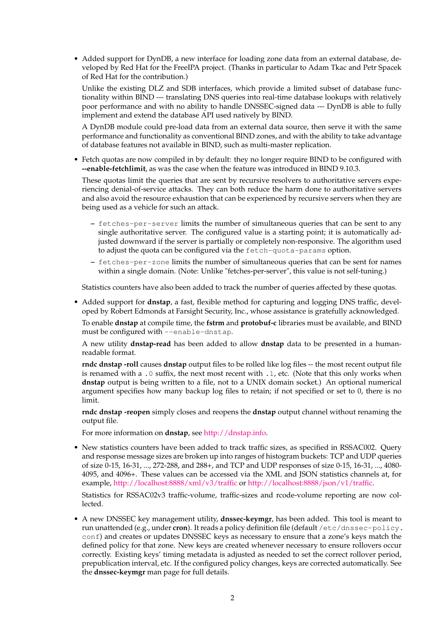• Added support for DynDB, a new interface for loading zone data from an external database, developed by Red Hat for the FreeIPA project. (Thanks in particular to Adam Tkac and Petr Spacek of Red Hat for the contribution.)

Unlike the existing DLZ and SDB interfaces, which provide a limited subset of database functionality within BIND --- translating DNS queries into real-time database lookups with relatively poor performance and with no ability to handle DNSSEC-signed data --- DynDB is able to fully implement and extend the database API used natively by BIND.

A DynDB module could pre-load data from an external data source, then serve it with the same performance and functionality as conventional BIND zones, and with the ability to take advantage of database features not available in BIND, such as multi-master replication.

• Fetch quotas are now compiled in by default: they no longer require BIND to be configured with **--enable-fetchlimit**, as was the case when the feature was introduced in BIND 9.10.3.

These quotas limit the queries that are sent by recursive resolvers to authoritative servers experiencing denial-of-service attacks. They can both reduce the harm done to authoritative servers and also avoid the resource exhaustion that can be experienced by recursive servers when they are being used as a vehicle for such an attack.

- **–** fetches-per-server limits the number of simultaneous queries that can be sent to any single authoritative server. The configured value is a starting point; it is automatically adjusted downward if the server is partially or completely non-responsive. The algorithm used to adjust the quota can be configured via the fetch-quota-params option.
- **–** fetches-per-zone limits the number of simultaneous queries that can be sent for names within a single domain. (Note: Unlike "fetches-per-server", this value is not self-tuning.)

Statistics counters have also been added to track the number of queries affected by these quotas.

• Added support for **dnstap**, a fast, flexible method for capturing and logging DNS traffic, developed by Robert Edmonds at Farsight Security, Inc., whose assistance is gratefully acknowledged.

To enable **dnstap** at compile time, the **fstrm** and **protobuf-c** libraries must be available, and BIND must be configured with --enable-dnstap.

A new utility **dnstap-read** has been added to allow **dnstap** data to be presented in a humanreadable format.

**rndc dnstap -roll** causes **dnstap** output files to be rolled like log files -- the most recent output file is renamed with a .0 suffix, the next most recent with .1, etc. (Note that this only works when **dnstap** output is being written to a file, not to a UNIX domain socket.) An optional numerical argument specifies how many backup log files to retain; if not specified or set to 0, there is no limit.

**rndc dnstap -reopen** simply closes and reopens the **dnstap** output channel without renaming the output file.

For more information on **dnstap**, see [http://dnstap.info.](http://dnstap.info)

• New statistics counters have been added to track traffic sizes, as specified in RSSAC002. Query and response message sizes are broken up into ranges of histogram buckets: TCP and UDP queries of size 0-15, 16-31, ..., 272-288, and 288+, and TCP and UDP responses of size 0-15, 16-31, ..., 4080- 4095, and 4096+. These values can be accessed via the XML and JSON statistics channels at, for example, <http://localhost:8888/xml/v3/traffic> or [http://localhost:8888/json/v1/traffic.](http://localhost:8888/json/v1/traffic)

Statistics for RSSAC02v3 traffic-volume, traffic-sizes and rcode-volume reporting are now collected.

• A new DNSSEC key management utility, **dnssec-keymgr**, has been added. This tool is meant to run unattended (e.g., under **cron**). It reads a policy definition file (default /etc/dnssec-policy. conf) and creates or updates DNSSEC keys as necessary to ensure that a zone's keys match the defined policy for that zone. New keys are created whenever necessary to ensure rollovers occur correctly. Existing keys' timing metadata is adjusted as needed to set the correct rollover period, prepublication interval, etc. If the configured policy changes, keys are corrected automatically. See the **dnssec-keymgr** man page for full details.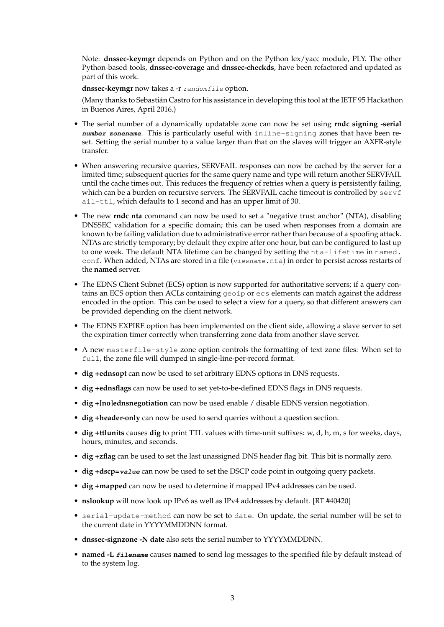Note: **dnssec-keymgr** depends on Python and on the Python lex/yacc module, PLY. The other Python-based tools, **dnssec-coverage** and **dnssec-checkds**, have been refactored and updated as part of this work.

dnssec-keymgr now takes a -r randomfile option.

(Many thanks to Sebastián Castro for his assistance in developing this tool at the IETF 95 Hackathon in Buenos Aires, April 2016.)

- The serial number of a dynamically updatable zone can now be set using **rndc signing -serial number zonename**. This is particularly useful with inline-signing zones that have been reset. Setting the serial number to a value larger than that on the slaves will trigger an AXFR-style transfer.
- When answering recursive queries, SERVFAIL responses can now be cached by the server for a limited time; subsequent queries for the same query name and type will return another SERVFAIL until the cache times out. This reduces the frequency of retries when a query is persistently failing, which can be a burden on recursive servers. The SERVFAIL cache timeout is controlled by servf ail-ttl, which defaults to 1 second and has an upper limit of 30.
- The new **rndc nta** command can now be used to set a "negative trust anchor" (NTA), disabling DNSSEC validation for a specific domain; this can be used when responses from a domain are known to be failing validation due to administrative error rather than because of a spoofing attack. NTAs are strictly temporary; by default they expire after one hour, but can be configured to last up to one week. The default NTA lifetime can be changed by setting the nta-lifetime in named. conf. When added, NTAs are stored in a file (viewname.nta) in order to persist across restarts of the **named** server.
- The EDNS Client Subnet (ECS) option is now supported for authoritative servers; if a query contains an ECS option then ACLs containing geoip or ecs elements can match against the address encoded in the option. This can be used to select a view for a query, so that different answers can be provided depending on the client network.
- The EDNS EXPIRE option has been implemented on the client side, allowing a slave server to set the expiration timer correctly when transferring zone data from another slave server.
- A new masterfile-style zone option controls the formatting of text zone files: When set to full, the zone file will dumped in single-line-per-record format.
- **dig +ednsopt** can now be used to set arbitrary EDNS options in DNS requests.
- **dig +ednsflags** can now be used to set yet-to-be-defined EDNS flags in DNS requests.
- **dig +[no]ednsnegotiation** can now be used enable / disable EDNS version negotiation.
- **dig +header-only** can now be used to send queries without a question section.
- **dig +ttlunits** causes **dig** to print TTL values with time-unit suffixes: w, d, h, m, s for weeks, days, hours, minutes, and seconds.
- **dig +zflag** can be used to set the last unassigned DNS header flag bit. This bit is normally zero.
- **dig +dscp=value** can now be used to set the DSCP code point in outgoing query packets.
- **dig +mapped** can now be used to determine if mapped IPv4 addresses can be used.
- **nslookup** will now look up IPv6 as well as IPv4 addresses by default. [RT #40420]
- serial-update-method can now be set to date. On update, the serial number will be set to the current date in YYYYMMDDNN format.
- **dnssec-signzone -N date** also sets the serial number to YYYYMMDDNN.
- **named -L filename** causes **named** to send log messages to the specified file by default instead of to the system log.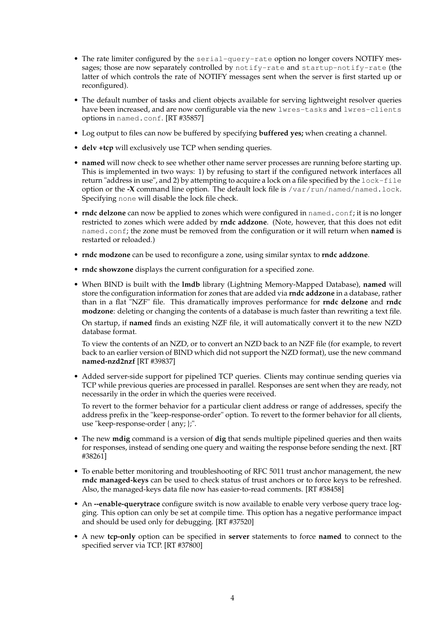- The rate limiter configured by the serial-query-rate option no longer covers NOTIFY messages; those are now separately controlled by notify-rate and startup-notify-rate (the latter of which controls the rate of NOTIFY messages sent when the server is first started up or reconfigured).
- The default number of tasks and client objects available for serving lightweight resolver queries have been increased, and are now configurable via the new lwres-tasks and lwres-clients options in named.conf. [RT #35857]
- Log output to files can now be buffered by specifying **buffered yes;** when creating a channel.
- **delv +tcp** will exclusively use TCP when sending queries.
- **named** will now check to see whether other name server processes are running before starting up. This is implemented in two ways: 1) by refusing to start if the configured network interfaces all return "address in use", and 2) by attempting to acquire a lock on a file specified by the lock-file option or the **-X** command line option. The default lock file is /var/run/named/named.lock. Specifying none will disable the lock file check.
- **rndc delzone** can now be applied to zones which were configured in named.conf; it is no longer restricted to zones which were added by **rndc addzone**. (Note, however, that this does not edit named.conf; the zone must be removed from the configuration or it will return when **named** is restarted or reloaded.)
- **rndc modzone** can be used to reconfigure a zone, using similar syntax to **rndc addzone**.
- **rndc showzone** displays the current configuration for a specified zone.
- When BIND is built with the **lmdb** library (Lightning Memory-Mapped Database), **named** will store the configuration information for zones that are added via **rndc addzone** in a database, rather than in a flat "NZF" file. This dramatically improves performance for **rndc delzone** and **rndc modzone**: deleting or changing the contents of a database is much faster than rewriting a text file.

On startup, if **named** finds an existing NZF file, it will automatically convert it to the new NZD database format.

To view the contents of an NZD, or to convert an NZD back to an NZF file (for example, to revert back to an earlier version of BIND which did not support the NZD format), use the new command **named-nzd2nzf** [RT #39837]

• Added server-side support for pipelined TCP queries. Clients may continue sending queries via TCP while previous queries are processed in parallel. Responses are sent when they are ready, not necessarily in the order in which the queries were received.

To revert to the former behavior for a particular client address or range of addresses, specify the address prefix in the "keep-response-order" option. To revert to the former behavior for all clients, use "keep-response-order { any; };".

- The new **mdig** command is a version of **dig** that sends multiple pipelined queries and then waits for responses, instead of sending one query and waiting the response before sending the next. [RT #38261]
- To enable better monitoring and troubleshooting of RFC 5011 trust anchor management, the new **rndc managed-keys** can be used to check status of trust anchors or to force keys to be refreshed. Also, the managed-keys data file now has easier-to-read comments. [RT #38458]
- An **--enable-querytrace** configure switch is now available to enable very verbose query trace logging. This option can only be set at compile time. This option has a negative performance impact and should be used only for debugging. [RT #37520]
- A new **tcp-only** option can be specified in **server** statements to force **named** to connect to the specified server via TCP. [RT #37800]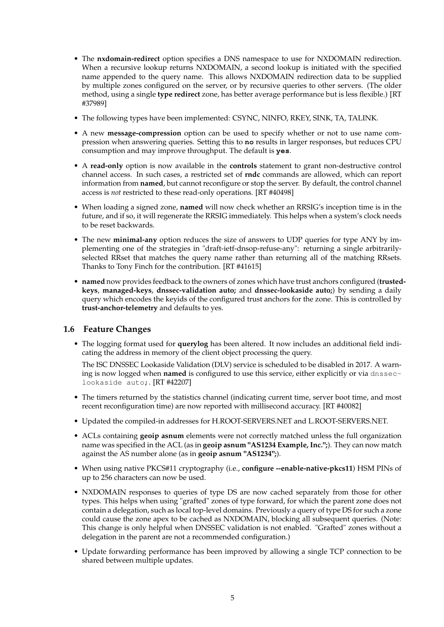- The **nxdomain-redirect** option specifies a DNS namespace to use for NXDOMAIN redirection. When a recursive lookup returns NXDOMAIN, a second lookup is initiated with the specified name appended to the query name. This allows NXDOMAIN redirection data to be supplied by multiple zones configured on the server, or by recursive queries to other servers. (The older method, using a single **type redirect** zone, has better average performance but is less flexible.) [RT #37989]
- The following types have been implemented: CSYNC, NINFO, RKEY, SINK, TA, TALINK.
- A new **message-compression** option can be used to specify whether or not to use name compression when answering queries. Setting this to **no** results in larger responses, but reduces CPU consumption and may improve throughput. The default is **yes**.
- A **read-only** option is now available in the **controls** statement to grant non-destructive control channel access. In such cases, a restricted set of **rndc** commands are allowed, which can report information from **named**, but cannot reconfigure or stop the server. By default, the control channel access is *not* restricted to these read-only operations. [RT #40498]
- When loading a signed zone, **named** will now check whether an RRSIG's inception time is in the future, and if so, it will regenerate the RRSIG immediately. This helps when a system's clock needs to be reset backwards.
- The new **minimal-any** option reduces the size of answers to UDP queries for type ANY by implementing one of the strategies in "draft-ietf-dnsop-refuse-any": returning a single arbitrarilyselected RRset that matches the query name rather than returning all of the matching RRsets. Thanks to Tony Finch for the contribution. [RT #41615]
- **named** now provides feedback to the owners of zones which have trust anchors configured (**trustedkeys**, **managed-keys**, **dnssec-validation auto;** and **dnssec-lookaside auto;**) by sending a daily query which encodes the keyids of the configured trust anchors for the zone. This is controlled by **trust-anchor-telemetry** and defaults to yes.

#### **1.6 Feature Changes**

• The logging format used for **querylog** has been altered. It now includes an additional field indicating the address in memory of the client object processing the query.

The ISC DNSSEC Lookaside Validation (DLV) service is scheduled to be disabled in 2017. A warning is now logged when **named** is configured to use this service, either explicitly or via dnsseclookaside auto;. [RT #42207]

- The timers returned by the statistics channel (indicating current time, server boot time, and most recent reconfiguration time) are now reported with millisecond accuracy. [RT #40082]
- Updated the compiled-in addresses for H.ROOT-SERVERS.NET and L.ROOT-SERVERS.NET.
- ACLs containing **geoip asnum** elements were not correctly matched unless the full organization name was specified in the ACL (as in **geoip asnum "AS1234 Example, Inc.";**). They can now match against the AS number alone (as in **geoip asnum "AS1234";**).
- When using native PKCS#11 cryptography (i.e., **configure --enable-native-pkcs11**) HSM PINs of up to 256 characters can now be used.
- NXDOMAIN responses to queries of type DS are now cached separately from those for other types. This helps when using "grafted" zones of type forward, for which the parent zone does not contain a delegation, such as local top-level domains. Previously a query of type DS for such a zone could cause the zone apex to be cached as NXDOMAIN, blocking all subsequent queries. (Note: This change is only helpful when DNSSEC validation is not enabled. "Grafted" zones without a delegation in the parent are not a recommended configuration.)
- Update forwarding performance has been improved by allowing a single TCP connection to be shared between multiple updates.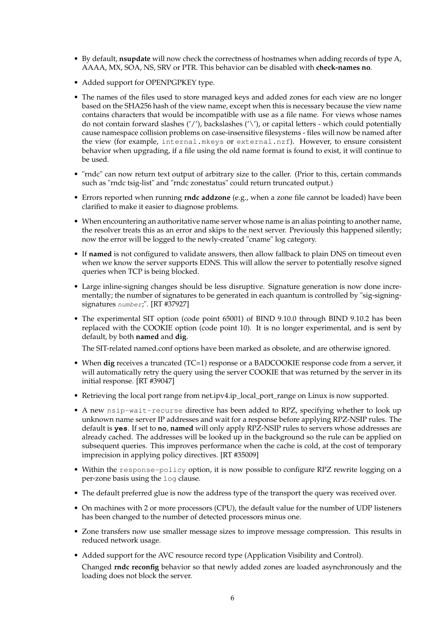- By default, **nsupdate** will now check the correctness of hostnames when adding records of type A, AAAA, MX, SOA, NS, SRV or PTR. This behavior can be disabled with **check-names no**.
- Added support for OPENPGPKEY type.
- The names of the files used to store managed keys and added zones for each view are no longer based on the SHA256 hash of the view name, except when this is necessary because the view name contains characters that would be incompatible with use as a file name. For views whose names do not contain forward slashes ('/'), backslashes ('\'), or capital letters - which could potentially cause namespace collision problems on case-insensitive filesystems - files will now be named after the view (for example, internal.mkeys or external.nzf). However, to ensure consistent behavior when upgrading, if a file using the old name format is found to exist, it will continue to be used.
- "rndc" can now return text output of arbitrary size to the caller. (Prior to this, certain commands such as "rndc tsig-list" and "rndc zonestatus" could return truncated output.)
- Errors reported when running **rndc addzone** (e.g., when a zone file cannot be loaded) have been clarified to make it easier to diagnose problems.
- When encountering an authoritative name server whose name is an alias pointing to another name, the resolver treats this as an error and skips to the next server. Previously this happened silently; now the error will be logged to the newly-created "cname" log category.
- If **named** is not configured to validate answers, then allow fallback to plain DNS on timeout even when we know the server supports EDNS. This will allow the server to potentially resolve signed queries when TCP is being blocked.
- Large inline-signing changes should be less disruptive. Signature generation is now done incrementally; the number of signatures to be generated in each quantum is controlled by "sig-signingsignatures number;". [RT #37927]
- The experimental SIT option (code point 65001) of BIND 9.10.0 through BIND 9.10.2 has been replaced with the COOKIE option (code point 10). It is no longer experimental, and is sent by default, by both **named** and **dig**.

The SIT-related named.conf options have been marked as obsolete, and are otherwise ignored.

- When **dig** receives a truncated (TC=1) response or a BADCOOKIE response code from a server, it will automatically retry the query using the server COOKIE that was returned by the server in its initial response. [RT #39047]
- Retrieving the local port range from net.ipv4.ip\_local\_port\_range on Linux is now supported.
- A new nsip-wait-recurse directive has been added to RPZ, specifying whether to look up unknown name server IP addresses and wait for a response before applying RPZ-NSIP rules. The default is **yes**. If set to **no**, **named** will only apply RPZ-NSIP rules to servers whose addresses are already cached. The addresses will be looked up in the background so the rule can be applied on subsequent queries. This improves performance when the cache is cold, at the cost of temporary imprecision in applying policy directives. [RT #35009]
- Within the response-policy option, it is now possible to configure RPZ rewrite logging on a per-zone basis using the log clause.
- The default preferred glue is now the address type of the transport the query was received over.
- On machines with 2 or more processors (CPU), the default value for the number of UDP listeners has been changed to the number of detected processors minus one.
- Zone transfers now use smaller message sizes to improve message compression. This results in reduced network usage.
- Added support for the AVC resource record type (Application Visibility and Control).

Changed **rndc reconfig** behavior so that newly added zones are loaded asynchronously and the loading does not block the server.